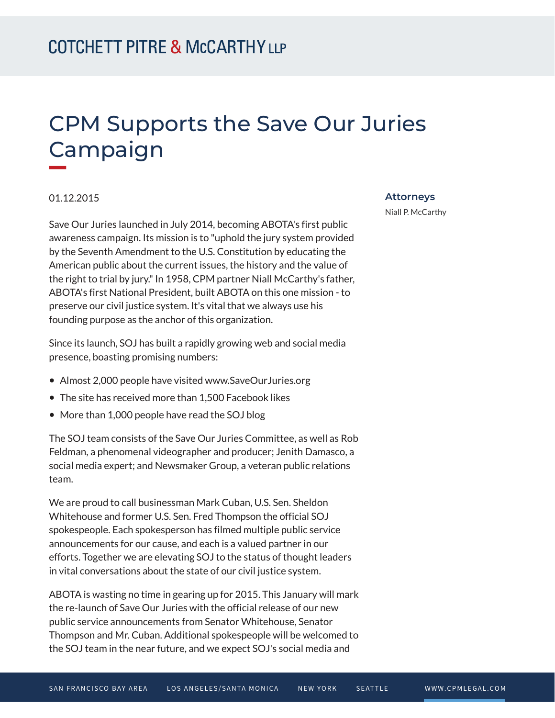## CPM Supports the Save Our Juries Campaign

## 01.12.2015

**William** 

Save Our Juries launched in July 2014, becoming ABOTA's first public awareness campaign. Its mission is to "uphold the jury system provided by the Seventh Amendment to the U.S. Constitution by educating the American public about the current issues, the history and the value of the right to trial by jury." In 1958, CPM partner Niall McCarthy's father, ABOTA's first National President, built ABOTA on this one mission - to preserve our civil justice system. It's vital that we always use his founding purpose as the anchor of this organization.

Since its launch, SOJ has built a rapidly growing web and social media presence, boasting promising numbers:

- Almost 2,000 people have visited www.SaveOurJuries.org
- The site has received more than 1,500 Facebook likes
- More than 1,000 people have read the SOJ blog

The SOJ team consists of the Save Our Juries Committee, as well as Rob Feldman, a phenomenal videographer and producer; Jenith Damasco, a social media expert; and Newsmaker Group, a veteran public relations team.

We are proud to call businessman Mark Cuban, U.S. Sen. Sheldon Whitehouse and former U.S. Sen. Fred Thompson the official SOJ spokespeople. Each spokesperson has filmed multiple public service announcements for our cause, and each is a valued partner in our efforts. Together we are elevating SOJ to the status of thought leaders in vital conversations about the state of our civil justice system.

ABOTA is wasting no time in gearing up for 2015. This January will mark the re-launch of Save Our Juries with the official release of our new public service announcements from Senator Whitehouse, Senator Thompson and Mr. Cuban. Additional spokespeople will be welcomed to the SOJ team in the near future, and we expect SOJ's social media and

## **Attorneys**

Niall P. McCarthy